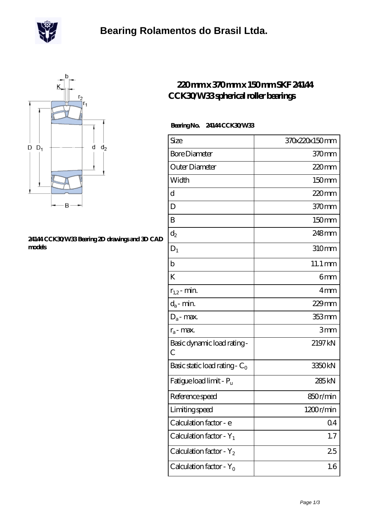



## **[24144 CCK30/W33 Bearing 2D drawings and 3D CAD](https://m.scottrobertalexander.com/pic-539716.html) [models](https://m.scottrobertalexander.com/pic-539716.html)**

## **[220 mm x 370 mm x 150 mm SKF 24144](https://m.scottrobertalexander.com/skf-24144-cck30-w33-bearing/) [CCK30/W33 spherical roller bearings](https://m.scottrobertalexander.com/skf-24144-cck30-w33-bearing/)**

## **Bearing No. 24144 CCK30/W33**

| Size                                | 370x220x150mm      |
|-------------------------------------|--------------------|
| <b>Bore Diameter</b>                | 370mm              |
| Outer Diameter                      | 220mm              |
| Width                               | 150mm              |
| d                                   | $220$ mm           |
| D                                   | 370mm              |
| B                                   | 150mm              |
| $d_2$                               | 248mm              |
| $D_1$                               | 310mm              |
| $\mathbf b$                         | 11.1 mm            |
| K                                   | 6mm                |
| $r_{1,2}$ - min.                    | 4 <sub>mm</sub>    |
| $d_a$ - min.                        | $229$ mm           |
| $D_a$ - max.                        | 353 mm             |
| $r_a$ - max.                        | 3mm                |
| Basic dynamic load rating-<br>С     | 2197 kN            |
| Basic static load rating - $C_0$    | 3350 <sub>kN</sub> |
| Fatigue load limit - P <sub>u</sub> | 285 <sub>kN</sub>  |
| Reference speed                     | 850r/min           |
| Limiting speed                      | 1200r/min          |
| Calculation factor - e              | Q <sub>4</sub>     |
| Calculation factor - $Y_1$          | 1.7                |
| Calculation factor - $Y_2$          | 25                 |
| Calculation factor - $Y_0$          | 1.6                |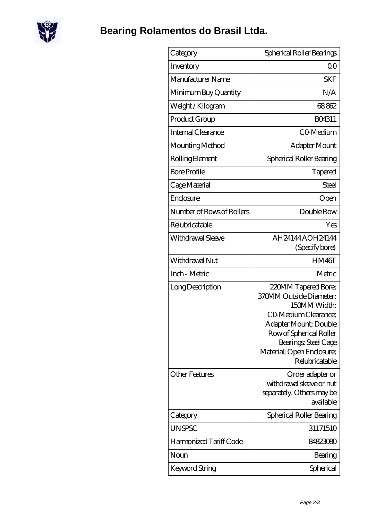

| Category                  | Spherical Roller Bearings                                                                                                                                                                                         |
|---------------------------|-------------------------------------------------------------------------------------------------------------------------------------------------------------------------------------------------------------------|
| Inventory                 | Q0                                                                                                                                                                                                                |
| Manufacturer Name         | <b>SKF</b>                                                                                                                                                                                                        |
| Minimum Buy Quantity      | N/A                                                                                                                                                                                                               |
| Weight / Kilogram         | 68862                                                                                                                                                                                                             |
| Product Group             | BO4311                                                                                                                                                                                                            |
| Internal Clearance        | CO-Medium                                                                                                                                                                                                         |
| Mounting Method           | Adapter Mount                                                                                                                                                                                                     |
| Rolling Element           | Spherical Roller Bearing                                                                                                                                                                                          |
| <b>Bore Profile</b>       | Tapered                                                                                                                                                                                                           |
| Cage Material             | Steel                                                                                                                                                                                                             |
| Enclosure                 | Open                                                                                                                                                                                                              |
| Number of Rows of Rollers | Double Row                                                                                                                                                                                                        |
| Relubricatable            | Yes                                                                                                                                                                                                               |
| Withdrawal Sleeve         | AH24144AOH24144<br>(Specify bore)                                                                                                                                                                                 |
| Withdrawal Nut            | HM46T                                                                                                                                                                                                             |
| Inch - Metric             | Metric                                                                                                                                                                                                            |
| Long Description          | 220MM Tapered Bore;<br>370MM Outside Diameter;<br>150MM Width;<br>CO Medium Clearance;<br>Adapter Mount; Double<br>Row of Spherical Roller<br>Bearings; Steel Cage<br>Material; Open Enclosure;<br>Relubricatable |
| <b>Other Features</b>     | Order adapter or<br>withdrawal sleeve or nut<br>separately. Others may be<br>available                                                                                                                            |
| Category                  | Spherical Roller Bearing                                                                                                                                                                                          |
| <b>UNSPSC</b>             | 31171510                                                                                                                                                                                                          |
| Harmonized Tariff Code    | 84823080                                                                                                                                                                                                          |
| Noun                      | Bearing                                                                                                                                                                                                           |
| Keyword String            | Spherical                                                                                                                                                                                                         |